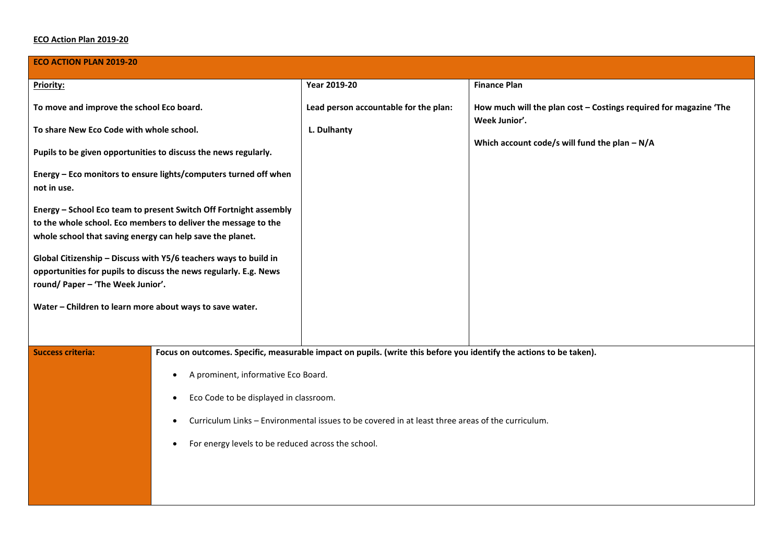## **ECO Action Plan 2019-20**

| <b>ECO ACTION PLAN 2019-20</b>                                                                                                                                                                   |                                                                                                               |                                                                                                                     |                                                                                                                                      |  |  |  |
|--------------------------------------------------------------------------------------------------------------------------------------------------------------------------------------------------|---------------------------------------------------------------------------------------------------------------|---------------------------------------------------------------------------------------------------------------------|--------------------------------------------------------------------------------------------------------------------------------------|--|--|--|
| Priority:                                                                                                                                                                                        |                                                                                                               | Year 2019-20                                                                                                        | <b>Finance Plan</b>                                                                                                                  |  |  |  |
| To move and improve the school Eco board.                                                                                                                                                        |                                                                                                               | Lead person accountable for the plan:                                                                               | How much will the plan cost - Costings required for magazine 'The<br>Week Junior'.<br>Which account code/s will fund the plan $-N/A$ |  |  |  |
| To share New Eco Code with whole school.                                                                                                                                                         |                                                                                                               | L. Dulhanty                                                                                                         |                                                                                                                                      |  |  |  |
| Pupils to be given opportunities to discuss the news regularly.                                                                                                                                  |                                                                                                               |                                                                                                                     |                                                                                                                                      |  |  |  |
| Energy - Eco monitors to ensure lights/computers turned off when<br>not in use.                                                                                                                  |                                                                                                               |                                                                                                                     |                                                                                                                                      |  |  |  |
| Energy - School Eco team to present Switch Off Fortnight assembly<br>to the whole school. Eco members to deliver the message to the<br>whole school that saving energy can help save the planet. |                                                                                                               |                                                                                                                     |                                                                                                                                      |  |  |  |
| Global Citizenship - Discuss with Y5/6 teachers ways to build in<br>opportunities for pupils to discuss the news regularly. E.g. News<br>round/ Paper - 'The Week Junior'.                       |                                                                                                               |                                                                                                                     |                                                                                                                                      |  |  |  |
| Water - Children to learn more about ways to save water.                                                                                                                                         |                                                                                                               |                                                                                                                     |                                                                                                                                      |  |  |  |
| <b>Success criteria:</b>                                                                                                                                                                         |                                                                                                               | Focus on outcomes. Specific, measurable impact on pupils. (write this before you identify the actions to be taken). |                                                                                                                                      |  |  |  |
|                                                                                                                                                                                                  | A prominent, informative Eco Board.                                                                           |                                                                                                                     |                                                                                                                                      |  |  |  |
|                                                                                                                                                                                                  | Eco Code to be displayed in classroom.<br>$\bullet$                                                           |                                                                                                                     |                                                                                                                                      |  |  |  |
|                                                                                                                                                                                                  | Curriculum Links - Environmental issues to be covered in at least three areas of the curriculum.<br>$\bullet$ |                                                                                                                     |                                                                                                                                      |  |  |  |
|                                                                                                                                                                                                  | For energy levels to be reduced across the school.<br>$\bullet$                                               |                                                                                                                     |                                                                                                                                      |  |  |  |
|                                                                                                                                                                                                  |                                                                                                               |                                                                                                                     |                                                                                                                                      |  |  |  |
|                                                                                                                                                                                                  |                                                                                                               |                                                                                                                     |                                                                                                                                      |  |  |  |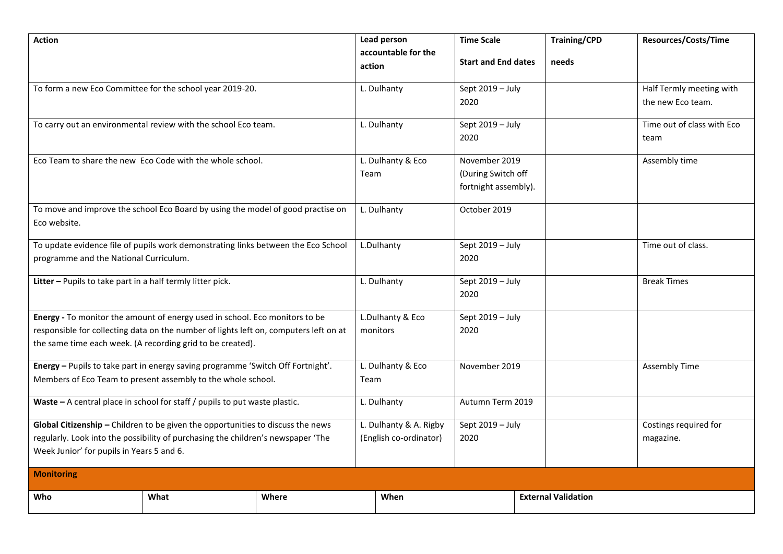| <b>Action</b>                                                                         |                                                                                 |       |             | Lead person<br>accountable for the | <b>Time Scale</b>          |                            | <b>Training/CPD</b>   | <b>Resources/Costs/Time</b> |
|---------------------------------------------------------------------------------------|---------------------------------------------------------------------------------|-------|-------------|------------------------------------|----------------------------|----------------------------|-----------------------|-----------------------------|
|                                                                                       |                                                                                 |       | action      |                                    | <b>Start and End dates</b> | needs                      |                       |                             |
|                                                                                       | To form a new Eco Committee for the school year 2019-20.                        |       | L. Dulhanty |                                    | Sept 2019 - July           |                            |                       | Half Termly meeting with    |
|                                                                                       |                                                                                 |       |             |                                    | 2020                       |                            |                       | the new Eco team.           |
| To carry out an environmental review with the school Eco team.                        |                                                                                 |       | L. Dulhanty |                                    | Sept 2019 - July           |                            |                       | Time out of class with Eco  |
|                                                                                       |                                                                                 |       |             |                                    | 2020                       |                            |                       | team                        |
|                                                                                       | Eco Team to share the new Eco Code with the whole school.                       |       |             | L. Dulhanty & Eco                  | November 2019              |                            |                       | Assembly time               |
|                                                                                       |                                                                                 |       | Team        |                                    | (During Switch off         |                            |                       |                             |
|                                                                                       |                                                                                 |       |             |                                    | fortnight assembly).       |                            |                       |                             |
|                                                                                       | To move and improve the school Eco Board by using the model of good practise on |       | L. Dulhanty |                                    | October 2019               |                            |                       |                             |
| Eco website.                                                                          |                                                                                 |       |             |                                    |                            |                            |                       |                             |
| To update evidence file of pupils work demonstrating links between the Eco School     |                                                                                 |       | L.Dulhanty  |                                    | Sept 2019 - July           |                            |                       | Time out of class.          |
| programme and the National Curriculum.                                                |                                                                                 |       |             |                                    | 2020                       |                            |                       |                             |
| Litter - Pupils to take part in a half termly litter pick.                            |                                                                                 |       | L. Dulhanty |                                    | Sept 2019 - July           |                            |                       | <b>Break Times</b>          |
|                                                                                       |                                                                                 |       |             |                                    | 2020                       |                            |                       |                             |
| Energy - To monitor the amount of energy used in school. Eco monitors to be           |                                                                                 |       |             | L.Dulhanty & Eco                   | Sept $2019 - July$         |                            |                       |                             |
| responsible for collecting data on the number of lights left on, computers left on at |                                                                                 |       | monitors    |                                    | 2020                       |                            |                       |                             |
| the same time each week. (A recording grid to be created).                            |                                                                                 |       |             |                                    |                            |                            |                       |                             |
| Energy - Pupils to take part in energy saving programme 'Switch Off Fortnight'.       |                                                                                 |       |             | L. Dulhanty & Eco                  | November 2019              |                            |                       | <b>Assembly Time</b>        |
| Members of Eco Team to present assembly to the whole school.                          |                                                                                 |       | Team        |                                    |                            |                            |                       |                             |
| Waste - A central place in school for staff / pupils to put waste plastic.            |                                                                                 |       | L. Dulhanty |                                    | Autumn Term 2019           |                            |                       |                             |
| Global Citizenship - Children to be given the opportunities to discuss the news       |                                                                                 |       |             | L. Dulhanty & A. Rigby             | Sept 2019 - July           |                            | Costings required for |                             |
| regularly. Look into the possibility of purchasing the children's newspaper 'The      |                                                                                 |       |             | (English co-ordinator)             | 2020                       |                            |                       | magazine.                   |
| Week Junior' for pupils in Years 5 and 6.                                             |                                                                                 |       |             |                                    |                            |                            |                       |                             |
| <b>Monitoring</b>                                                                     |                                                                                 |       |             |                                    |                            |                            |                       |                             |
| Who                                                                                   | What                                                                            | Where |             | When                               |                            | <b>External Validation</b> |                       |                             |